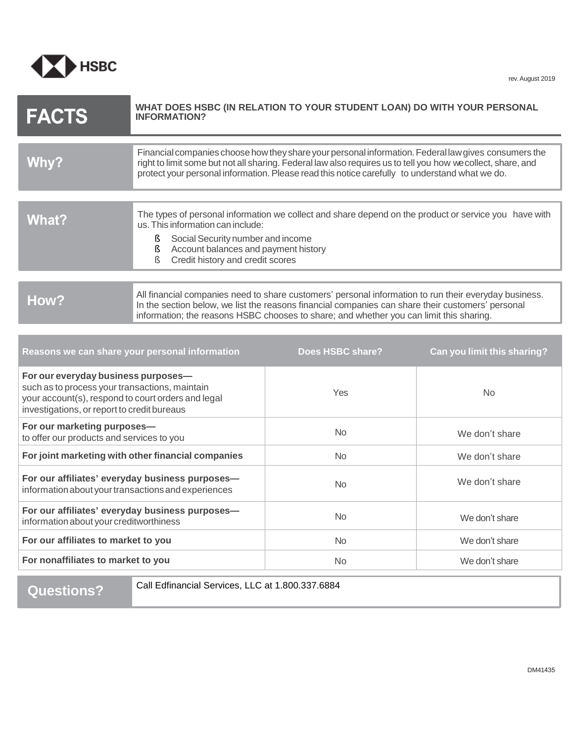

| <b>FACTS</b> | WHAT DOES HSBC (IN RELATION TO YOUR STUDENT LOAN) DO WITH YOUR PERSONAL<br><b>INFORMATION?</b>                                                                                                                                                                                                                         |
|--------------|------------------------------------------------------------------------------------------------------------------------------------------------------------------------------------------------------------------------------------------------------------------------------------------------------------------------|
|              |                                                                                                                                                                                                                                                                                                                        |
| Why?         | Financial companies choose how they share your personal information. Federal law gives consumers the<br>right to limit some but not all sharing. Federal law also requires us to tell you how we collect, share, and<br>protect your personal information. Please read this notice carefully to understand what we do. |
|              |                                                                                                                                                                                                                                                                                                                        |
| What?        | The types of personal information we collect and share depend on the product or service you have with<br>us. This information can include:                                                                                                                                                                             |
|              | Social Security number and income<br>Account balances and payment history<br>Credit history and credit scores<br>ξ                                                                                                                                                                                                     |
|              |                                                                                                                                                                                                                                                                                                                        |
| How?         | All financial companies need to share customers' personal information to run their everyday business.<br>In the section below, we list the reasons financial companies can share their customers' personal<br>information; the reasons HSBC chooses to share; and whether you can limit this sharing.                  |

| Reasons we can share your personal information                                                                                                                                             | Does HSBC share? | Can you limit this sharing? |
|--------------------------------------------------------------------------------------------------------------------------------------------------------------------------------------------|------------------|-----------------------------|
| For our everyday business purposes-<br>such as to process your transactions, maintain<br>your account(s), respond to court orders and legal<br>investigations, or report to credit bureaus | <b>Yes</b>       | <b>No</b>                   |
| For our marketing purposes-<br>to offer our products and services to you                                                                                                                   | No.              | We don't share              |
| For joint marketing with other financial companies                                                                                                                                         | No.              | We don't share              |
| For our affiliates' everyday business purposes-<br>information about your transactions and experiences                                                                                     | <b>No</b>        | We don't share              |
| For our affiliates' everyday business purposes-<br>information about your creditworthiness                                                                                                 | No.              | We don't share              |
| For our affiliates to market to you                                                                                                                                                        | N <sub>o</sub>   | We don't share              |
| For nonaffiliates to market to you                                                                                                                                                         | No.              | We don't share              |

Call Edfinancial Services, LLC at 1.800.337.6884 **Questions?**